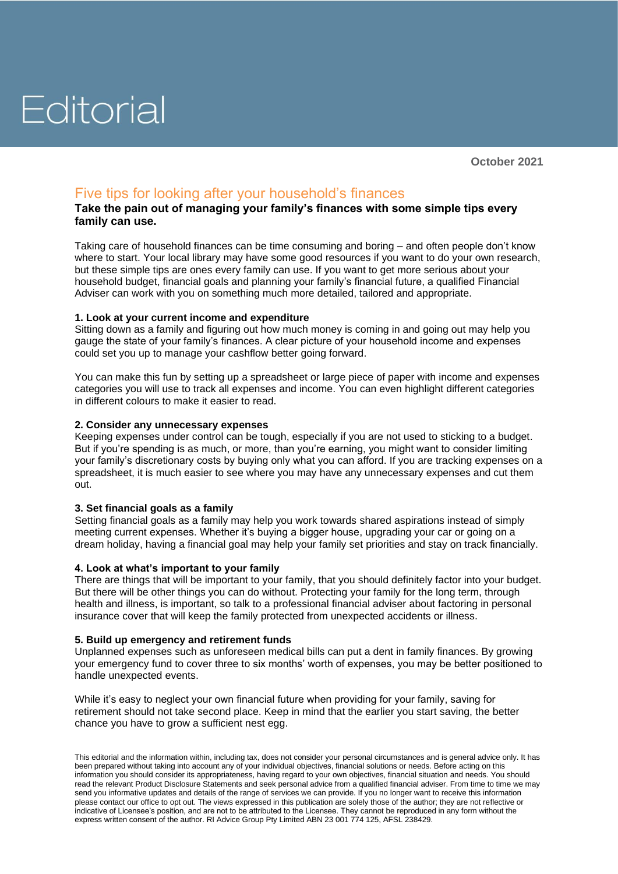# Editorial

**October 2021**

## Five tips for looking after your household's finances

### **Take the pain out of managing your family's finances with some simple tips every family can use.**

Taking care of household finances can be time consuming and boring – and often people don't know where to start. Your local library may have some good resources if you want to do your own research, but these simple tips are ones every family can use. If you want to get more serious about your household budget, financial goals and planning your family's financial future, a qualified Financial Adviser can work with you on something much more detailed, tailored and appropriate.

### **1. Look at your current income and expenditure**

Sitting down as a family and figuring out how much money is coming in and going out may help you gauge the state of your family's finances. A clear picture of your household income and expenses could set you up to manage your cashflow better going forward.

You can make this fun by setting up a spreadsheet or large piece of paper with income and expenses categories you will use to track all expenses and income. You can even highlight different categories in different colours to make it easier to read.

#### **2. Consider any unnecessary expenses**

Keeping expenses under control can be tough, especially if you are not used to sticking to a budget. But if you're spending is as much, or more, than you're earning, you might want to consider limiting your family's discretionary costs by buying only what you can afford. If you are tracking expenses on a spreadsheet, it is much easier to see where you may have any unnecessary expenses and cut them out.

#### **3. Set financial goals as a family**

Setting financial goals as a family may help you work towards shared aspirations instead of simply meeting current expenses. Whether it's buying a bigger house, upgrading your car or going on a dream holiday, having a financial goal may help your family set priorities and stay on track financially.

#### **4. Look at what's important to your family**

There are things that will be important to your family, that you should definitely factor into your budget. But there will be other things you can do without. Protecting your family for the long term, through health and illness, is important, so talk to a professional financial adviser about factoring in personal insurance cover that will keep the family protected from unexpected accidents or illness.

#### **5. Build up emergency and retirement funds**

Unplanned expenses such as unforeseen medical bills can put a dent in family finances. By growing your emergency fund to cover three to six months' worth of expenses, you may be better positioned to handle unexpected events.

While it's easy to neglect your own financial future when providing for your family, saving for retirement should not take second place. Keep in mind that the earlier you start saving, the better chance you have to grow a sufficient nest egg.

This editorial and the information within, including tax, does not consider your personal circumstances and is general advice only. It has been prepared without taking into account any of your individual objectives, financial solutions or needs. Before acting on this information you should consider its appropriateness, having regard to your own objectives, financial situation and needs. You should read the relevant Product Disclosure Statements and seek personal advice from a qualified financial adviser. From time to time we may send you informative updates and details of the range of services we can provide. If you no longer want to receive this information please contact our office to opt out. The views expressed in this publication are solely those of the author; they are not reflective or indicative of Licensee's position, and are not to be attributed to the Licensee. They cannot be reproduced in any form without the express written consent of the author. RI Advice Group Pty Limited ABN 23 001 774 125, AFSL 238429.